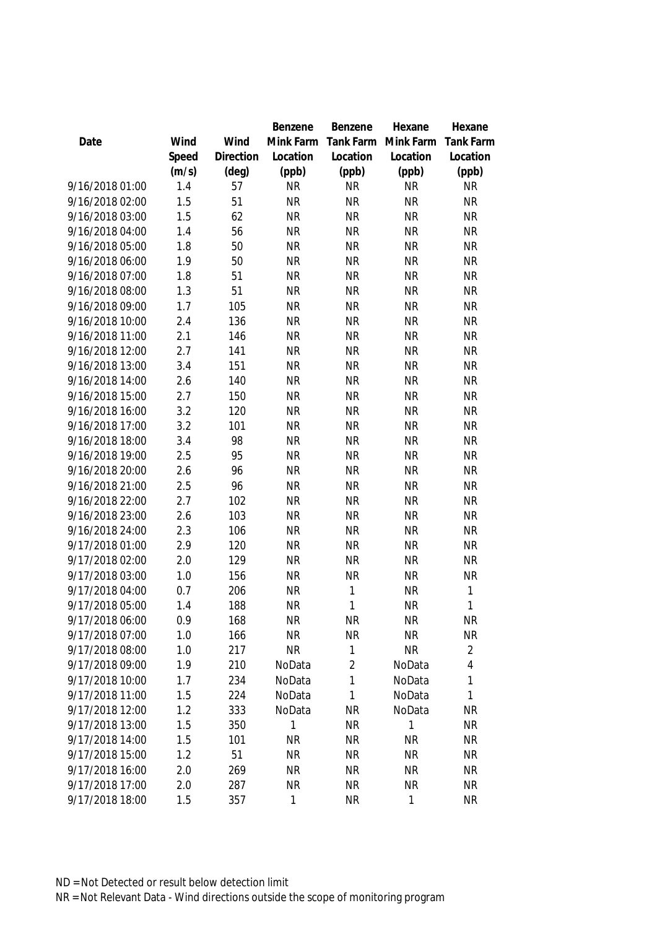|                 |       |                | Benzene   | Benzene        | Hexane       | Hexane           |
|-----------------|-------|----------------|-----------|----------------|--------------|------------------|
| Date            | Wind  | Wind           | Mink Farm | Tank Farm      | Mink Farm    | <b>Tank Farm</b> |
|                 | Speed | Direction      | Location  | Location       | Location     | Location         |
|                 | (m/s) | $(\text{deg})$ | (ppb)     | (ppb)          | (ppb)        | (ppb)            |
| 9/16/2018 01:00 | 1.4   | 57             | <b>NR</b> | <b>NR</b>      | <b>NR</b>    | <b>NR</b>        |
| 9/16/2018 02:00 | 1.5   | 51             | <b>NR</b> | <b>NR</b>      | <b>NR</b>    | <b>NR</b>        |
| 9/16/2018 03:00 | 1.5   | 62             | <b>NR</b> | <b>NR</b>      | <b>NR</b>    | <b>NR</b>        |
| 9/16/2018 04:00 | 1.4   | 56             | <b>NR</b> | <b>NR</b>      | <b>NR</b>    | <b>NR</b>        |
| 9/16/2018 05:00 | 1.8   | 50             | <b>NR</b> | <b>NR</b>      | <b>NR</b>    | <b>NR</b>        |
| 9/16/2018 06:00 | 1.9   | 50             | <b>NR</b> | <b>NR</b>      | <b>NR</b>    | <b>NR</b>        |
| 9/16/2018 07:00 | 1.8   | 51             | <b>NR</b> | <b>NR</b>      | <b>NR</b>    | <b>NR</b>        |
| 9/16/2018 08:00 | 1.3   | 51             | <b>NR</b> | <b>NR</b>      | <b>NR</b>    | <b>NR</b>        |
| 9/16/2018 09:00 | 1.7   | 105            | <b>NR</b> | <b>NR</b>      | <b>NR</b>    | <b>NR</b>        |
| 9/16/2018 10:00 | 2.4   | 136            | <b>NR</b> | <b>NR</b>      | <b>NR</b>    | <b>NR</b>        |
| 9/16/2018 11:00 | 2.1   | 146            | <b>NR</b> | <b>NR</b>      | <b>NR</b>    | <b>NR</b>        |
| 9/16/2018 12:00 | 2.7   | 141            | <b>NR</b> | <b>NR</b>      | <b>NR</b>    | <b>NR</b>        |
| 9/16/2018 13:00 | 3.4   | 151            | <b>NR</b> | <b>NR</b>      | <b>NR</b>    | <b>NR</b>        |
| 9/16/2018 14:00 | 2.6   | 140            | <b>NR</b> | <b>NR</b>      | <b>NR</b>    | <b>NR</b>        |
| 9/16/2018 15:00 | 2.7   | 150            | <b>NR</b> | <b>NR</b>      | <b>NR</b>    | <b>NR</b>        |
| 9/16/2018 16:00 | 3.2   | 120            | <b>NR</b> | <b>NR</b>      | <b>NR</b>    | <b>NR</b>        |
| 9/16/2018 17:00 | 3.2   | 101            | <b>NR</b> | <b>NR</b>      | <b>NR</b>    | <b>NR</b>        |
| 9/16/2018 18:00 | 3.4   | 98             | <b>NR</b> | <b>NR</b>      | <b>NR</b>    | <b>NR</b>        |
| 9/16/2018 19:00 | 2.5   | 95             | <b>NR</b> | <b>NR</b>      | <b>NR</b>    | <b>NR</b>        |
| 9/16/2018 20:00 | 2.6   | 96             | <b>NR</b> | <b>NR</b>      | <b>NR</b>    | <b>NR</b>        |
| 9/16/2018 21:00 | 2.5   | 96             | <b>NR</b> | <b>NR</b>      | <b>NR</b>    | <b>NR</b>        |
| 9/16/2018 22:00 | 2.7   | 102            | <b>NR</b> | <b>NR</b>      | <b>NR</b>    | <b>NR</b>        |
| 9/16/2018 23:00 | 2.6   | 103            | <b>NR</b> | <b>NR</b>      | <b>NR</b>    | <b>NR</b>        |
| 9/16/2018 24:00 | 2.3   | 106            | <b>NR</b> | <b>NR</b>      | <b>NR</b>    | <b>NR</b>        |
| 9/17/2018 01:00 | 2.9   | 120            | <b>NR</b> | <b>NR</b>      | <b>NR</b>    | <b>NR</b>        |
| 9/17/2018 02:00 | 2.0   | 129            | <b>NR</b> | <b>NR</b>      | <b>NR</b>    | <b>NR</b>        |
| 9/17/2018 03:00 | 1.0   | 156            | <b>NR</b> | <b>NR</b>      | <b>NR</b>    | <b>NR</b>        |
| 9/17/2018 04:00 | 0.7   | 206            | <b>NR</b> | 1              | <b>NR</b>    | 1                |
| 9/17/2018 05:00 | 1.4   | 188            | <b>NR</b> | 1              | <b>NR</b>    | 1                |
| 9/17/2018 06:00 | 0.9   | 168            | <b>NR</b> | <b>NR</b>      | <b>NR</b>    | <b>NR</b>        |
| 9/17/2018 07:00 | 1.0   | 166            | <b>NR</b> | <b>NR</b>      | <b>NR</b>    | <b>NR</b>        |
| 9/17/2018 08:00 | 1.0   | 217            | <b>NR</b> | 1              | <b>NR</b>    | $\overline{2}$   |
| 9/17/2018 09:00 | 1.9   | 210            | NoData    | $\overline{2}$ | NoData       | 4                |
| 9/17/2018 10:00 | 1.7   | 234            | NoData    | 1              | NoData       | 1                |
| 9/17/2018 11:00 | 1.5   | 224            | NoData    | 1              | NoData       | 1                |
| 9/17/2018 12:00 | 1.2   | 333            | NoData    | <b>NR</b>      | NoData       | <b>NR</b>        |
| 9/17/2018 13:00 | 1.5   | 350            | 1         | <b>NR</b>      | $\mathbf{1}$ | <b>NR</b>        |
| 9/17/2018 14:00 | 1.5   | 101            | <b>NR</b> | <b>NR</b>      | <b>NR</b>    | <b>NR</b>        |
| 9/17/2018 15:00 | 1.2   | 51             | <b>NR</b> | <b>NR</b>      | <b>NR</b>    | <b>NR</b>        |
| 9/17/2018 16:00 | 2.0   | 269            | <b>NR</b> | <b>NR</b>      | <b>NR</b>    | <b>NR</b>        |
| 9/17/2018 17:00 | 2.0   | 287            | <b>NR</b> | <b>NR</b>      | <b>NR</b>    | <b>NR</b>        |
| 9/17/2018 18:00 | 1.5   | 357            | 1         | <b>NR</b>      | 1            | <b>NR</b>        |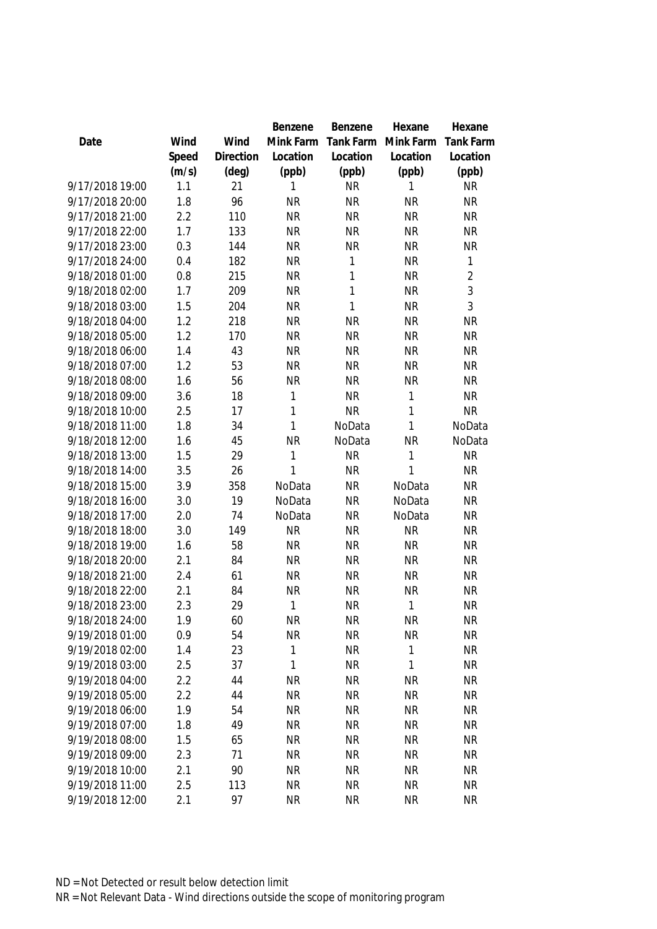|                 |       |           | Benzene      | Benzene      | Hexane    | Hexane           |
|-----------------|-------|-----------|--------------|--------------|-----------|------------------|
| Date            | Wind  | Wind      | Mink Farm    | Tank Farm    | Mink Farm | <b>Tank Farm</b> |
|                 | Speed | Direction | Location     | Location     | Location  | Location         |
|                 | (m/s) | (deg)     | (ppb)        | (ppb)        | (ppb)     | (ppb)            |
| 9/17/2018 19:00 | 1.1   | 21        | 1            | <b>NR</b>    | 1         | <b>NR</b>        |
| 9/17/2018 20:00 | 1.8   | 96        | <b>NR</b>    | <b>NR</b>    | <b>NR</b> | <b>NR</b>        |
| 9/17/2018 21:00 | 2.2   | 110       | <b>NR</b>    | <b>NR</b>    | <b>NR</b> | <b>NR</b>        |
| 9/17/2018 22:00 | 1.7   | 133       | <b>NR</b>    | <b>NR</b>    | <b>NR</b> | <b>NR</b>        |
| 9/17/2018 23:00 | 0.3   | 144       | <b>NR</b>    | <b>NR</b>    | <b>NR</b> | <b>NR</b>        |
| 9/17/2018 24:00 | 0.4   | 182       | <b>NR</b>    | 1            | <b>NR</b> | $\mathbf{1}$     |
| 9/18/2018 01:00 | 0.8   | 215       | <b>NR</b>    | $\mathbf{1}$ | <b>NR</b> | $\overline{2}$   |
| 9/18/2018 02:00 | 1.7   | 209       | <b>NR</b>    | $\mathbf{1}$ | <b>NR</b> | 3                |
| 9/18/2018 03:00 | 1.5   | 204       | <b>NR</b>    | 1            | <b>NR</b> | 3                |
| 9/18/2018 04:00 | 1.2   | 218       | <b>NR</b>    | <b>NR</b>    | <b>NR</b> | <b>NR</b>        |
| 9/18/2018 05:00 | 1.2   | 170       | <b>NR</b>    | <b>NR</b>    | <b>NR</b> | <b>NR</b>        |
| 9/18/2018 06:00 | 1.4   | 43        | <b>NR</b>    | <b>NR</b>    | <b>NR</b> | <b>NR</b>        |
| 9/18/2018 07:00 | 1.2   | 53        | <b>NR</b>    | <b>NR</b>    | <b>NR</b> | <b>NR</b>        |
| 9/18/2018 08:00 | 1.6   | 56        | <b>NR</b>    | <b>NR</b>    | <b>NR</b> | <b>NR</b>        |
| 9/18/2018 09:00 | 3.6   | 18        | 1            | <b>NR</b>    | 1         | <b>NR</b>        |
| 9/18/2018 10:00 | 2.5   | 17        | $\mathbf{1}$ | <b>NR</b>    | 1         | <b>NR</b>        |
| 9/18/2018 11:00 | 1.8   | 34        | 1            | NoData       | 1         | NoData           |
| 9/18/2018 12:00 | 1.6   | 45        | <b>NR</b>    | NoData       | <b>NR</b> | NoData           |
| 9/18/2018 13:00 | 1.5   | 29        | 1            | <b>NR</b>    | 1         | <b>NR</b>        |
| 9/18/2018 14:00 | 3.5   | 26        | 1            | <b>NR</b>    | 1         | <b>NR</b>        |
| 9/18/2018 15:00 | 3.9   | 358       | NoData       | <b>NR</b>    | NoData    | <b>NR</b>        |
| 9/18/2018 16:00 | 3.0   | 19        | NoData       | <b>NR</b>    | NoData    | <b>NR</b>        |
| 9/18/2018 17:00 | 2.0   | 74        | NoData       | <b>NR</b>    | NoData    | <b>NR</b>        |
| 9/18/2018 18:00 | 3.0   | 149       | <b>NR</b>    | <b>NR</b>    | <b>NR</b> | <b>NR</b>        |
| 9/18/2018 19:00 | 1.6   | 58        | <b>NR</b>    | <b>NR</b>    | <b>NR</b> | <b>NR</b>        |
| 9/18/2018 20:00 | 2.1   | 84        | <b>NR</b>    | <b>NR</b>    | <b>NR</b> | <b>NR</b>        |
| 9/18/2018 21:00 | 2.4   | 61        | <b>NR</b>    | <b>NR</b>    | <b>NR</b> | <b>NR</b>        |
| 9/18/2018 22:00 | 2.1   | 84        | <b>NR</b>    | <b>NR</b>    | <b>NR</b> | <b>NR</b>        |
| 9/18/2018 23:00 | 2.3   | 29        | 1            | <b>NR</b>    | 1         | <b>NR</b>        |
| 9/18/2018 24:00 | 1.9   | 60        | <b>NR</b>    | <b>NR</b>    | <b>NR</b> | NR               |
| 9/19/2018 01:00 | 0.9   | 54        | <b>NR</b>    | <b>NR</b>    | <b>NR</b> | <b>NR</b>        |
| 9/19/2018 02:00 | 1.4   | 23        | 1            | <b>NR</b>    | 1         | <b>NR</b>        |
| 9/19/2018 03:00 | 2.5   | 37        | 1            | <b>NR</b>    | 1         | <b>NR</b>        |
| 9/19/2018 04:00 | 2.2   | 44        | <b>NR</b>    | <b>NR</b>    | <b>NR</b> | <b>NR</b>        |
| 9/19/2018 05:00 | 2.2   | 44        | <b>NR</b>    | <b>NR</b>    | <b>NR</b> | <b>NR</b>        |
| 9/19/2018 06:00 | 1.9   | 54        | <b>NR</b>    | <b>NR</b>    | <b>NR</b> | <b>NR</b>        |
| 9/19/2018 07:00 | 1.8   | 49        | <b>NR</b>    | <b>NR</b>    | <b>NR</b> | <b>NR</b>        |
| 9/19/2018 08:00 | 1.5   | 65        | <b>NR</b>    | <b>NR</b>    | <b>NR</b> | <b>NR</b>        |
| 9/19/2018 09:00 | 2.3   | 71        | <b>NR</b>    | <b>NR</b>    | <b>NR</b> | <b>NR</b>        |
| 9/19/2018 10:00 | 2.1   | 90        | <b>NR</b>    | <b>NR</b>    | <b>NR</b> | <b>NR</b>        |
| 9/19/2018 11:00 | 2.5   | 113       | <b>NR</b>    | <b>NR</b>    | <b>NR</b> | <b>NR</b>        |
| 9/19/2018 12:00 | 2.1   | 97        | <b>NR</b>    | <b>NR</b>    | <b>NR</b> | <b>NR</b>        |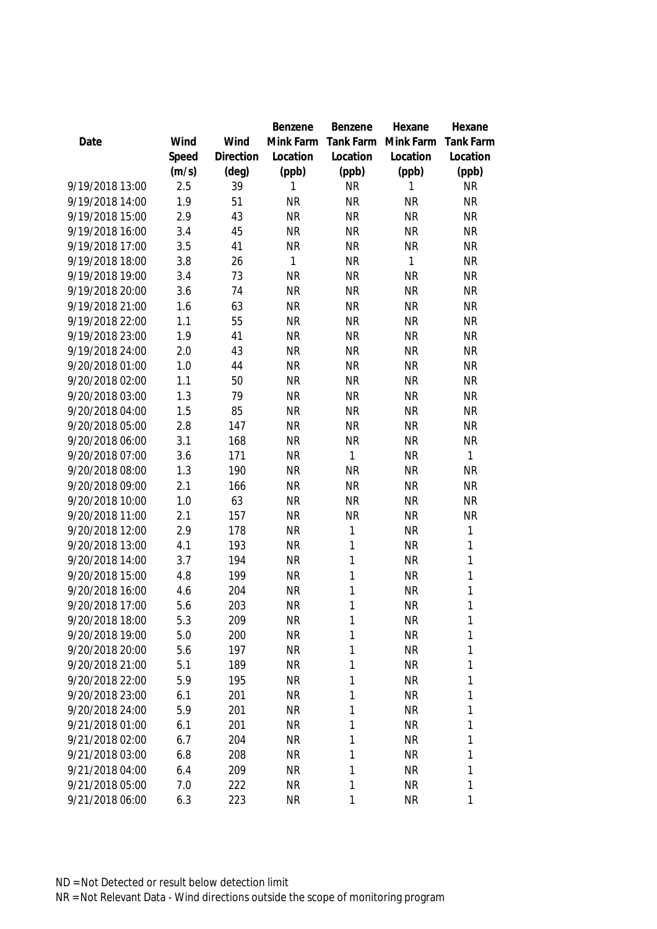|                 |       |           | Benzene   | Benzene      | Hexane    | Hexane           |
|-----------------|-------|-----------|-----------|--------------|-----------|------------------|
| Date            | Wind  | Wind      | Mink Farm | Tank Farm    | Mink Farm | <b>Tank Farm</b> |
|                 | Speed | Direction | Location  | Location     | Location  | Location         |
|                 | (m/s) | (deg)     | (ppb)     | (ppb)        | (ppb)     | (ppb)            |
| 9/19/2018 13:00 | 2.5   | 39        | 1         | <b>NR</b>    | 1         | <b>NR</b>        |
| 9/19/2018 14:00 | 1.9   | 51        | <b>NR</b> | <b>NR</b>    | <b>NR</b> | <b>NR</b>        |
| 9/19/2018 15:00 | 2.9   | 43        | <b>NR</b> | <b>NR</b>    | <b>NR</b> | <b>NR</b>        |
| 9/19/2018 16:00 | 3.4   | 45        | <b>NR</b> | <b>NR</b>    | <b>NR</b> | <b>NR</b>        |
| 9/19/2018 17:00 | 3.5   | 41        | <b>NR</b> | <b>NR</b>    | <b>NR</b> | <b>NR</b>        |
| 9/19/2018 18:00 | 3.8   | 26        | 1         | <b>NR</b>    | 1         | <b>NR</b>        |
| 9/19/2018 19:00 | 3.4   | 73        | <b>NR</b> | <b>NR</b>    | <b>NR</b> | <b>NR</b>        |
| 9/19/2018 20:00 | 3.6   | 74        | <b>NR</b> | <b>NR</b>    | <b>NR</b> | <b>NR</b>        |
| 9/19/2018 21:00 | 1.6   | 63        | <b>NR</b> | <b>NR</b>    | <b>NR</b> | <b>NR</b>        |
| 9/19/2018 22:00 | 1.1   | 55        | <b>NR</b> | <b>NR</b>    | <b>NR</b> | <b>NR</b>        |
| 9/19/2018 23:00 | 1.9   | 41        | <b>NR</b> | <b>NR</b>    | <b>NR</b> | <b>NR</b>        |
| 9/19/2018 24:00 | 2.0   | 43        | <b>NR</b> | <b>NR</b>    | <b>NR</b> | <b>NR</b>        |
| 9/20/2018 01:00 | 1.0   | 44        | <b>NR</b> | <b>NR</b>    | <b>NR</b> | <b>NR</b>        |
| 9/20/2018 02:00 | 1.1   | 50        | <b>NR</b> | <b>NR</b>    | <b>NR</b> | <b>NR</b>        |
| 9/20/2018 03:00 | 1.3   | 79        | <b>NR</b> | <b>NR</b>    | <b>NR</b> | <b>NR</b>        |
| 9/20/2018 04:00 | 1.5   | 85        | <b>NR</b> | <b>NR</b>    | <b>NR</b> | <b>NR</b>        |
| 9/20/2018 05:00 | 2.8   | 147       | <b>NR</b> | <b>NR</b>    | <b>NR</b> | <b>NR</b>        |
| 9/20/2018 06:00 | 3.1   | 168       | <b>NR</b> | <b>NR</b>    | <b>NR</b> | <b>NR</b>        |
| 9/20/2018 07:00 | 3.6   | 171       | <b>NR</b> | $\mathbf{1}$ | <b>NR</b> | $\mathbf{1}$     |
| 9/20/2018 08:00 | 1.3   | 190       | <b>NR</b> | <b>NR</b>    | <b>NR</b> | <b>NR</b>        |
| 9/20/2018 09:00 | 2.1   | 166       | <b>NR</b> | <b>NR</b>    | <b>NR</b> | <b>NR</b>        |
| 9/20/2018 10:00 | 1.0   | 63        | <b>NR</b> | <b>NR</b>    | <b>NR</b> | <b>NR</b>        |
| 9/20/2018 11:00 | 2.1   | 157       | <b>NR</b> | <b>NR</b>    | <b>NR</b> | <b>NR</b>        |
| 9/20/2018 12:00 | 2.9   | 178       | <b>NR</b> | $\mathbf{1}$ | <b>NR</b> | 1                |
| 9/20/2018 13:00 | 4.1   | 193       | <b>NR</b> | $\mathbf{1}$ | <b>NR</b> | 1                |
| 9/20/2018 14:00 | 3.7   | 194       | <b>NR</b> | $\mathbf{1}$ | <b>NR</b> | 1                |
| 9/20/2018 15:00 | 4.8   | 199       | <b>NR</b> | $\mathbf{1}$ | <b>NR</b> | $\mathbf{1}$     |
| 9/20/2018 16:00 | 4.6   | 204       | <b>NR</b> | $\mathbf{1}$ | <b>NR</b> | $\mathbf{1}$     |
| 9/20/2018 17:00 | 5.6   | 203       | <b>NR</b> | 1            | <b>NR</b> | 1                |
| 9/20/2018 18:00 | 5.3   | 209       | <b>NR</b> | 1            | <b>NR</b> | 1                |
| 9/20/2018 19:00 | 5.0   | 200       | <b>NR</b> | 1            | <b>NR</b> | 1                |
| 9/20/2018 20:00 | 5.6   | 197       | <b>NR</b> | 1            | <b>NR</b> | 1                |
| 9/20/2018 21:00 | 5.1   | 189       | <b>NR</b> | $\mathbf{1}$ | <b>NR</b> | 1                |
| 9/20/2018 22:00 | 5.9   | 195       | <b>NR</b> | 1            | <b>NR</b> | 1                |
| 9/20/2018 23:00 | 6.1   | 201       | <b>NR</b> | 1            | <b>NR</b> | 1                |
| 9/20/2018 24:00 | 5.9   | 201       | <b>NR</b> | 1            | <b>NR</b> | 1                |
| 9/21/2018 01:00 | 6.1   | 201       | <b>NR</b> | $\mathbf{1}$ | <b>NR</b> | 1                |
| 9/21/2018 02:00 | 6.7   | 204       | <b>NR</b> | 1            | <b>NR</b> | 1                |
| 9/21/2018 03:00 | 6.8   | 208       | <b>NR</b> | $\mathbf{1}$ | <b>NR</b> | 1                |
| 9/21/2018 04:00 | 6.4   | 209       | <b>NR</b> | $\mathbf{1}$ | <b>NR</b> | 1                |
| 9/21/2018 05:00 | 7.0   | 222       | <b>NR</b> | $\mathbf{1}$ | <b>NR</b> | 1                |
| 9/21/2018 06:00 | 6.3   | 223       | <b>NR</b> | 1            | <b>NR</b> | 1                |